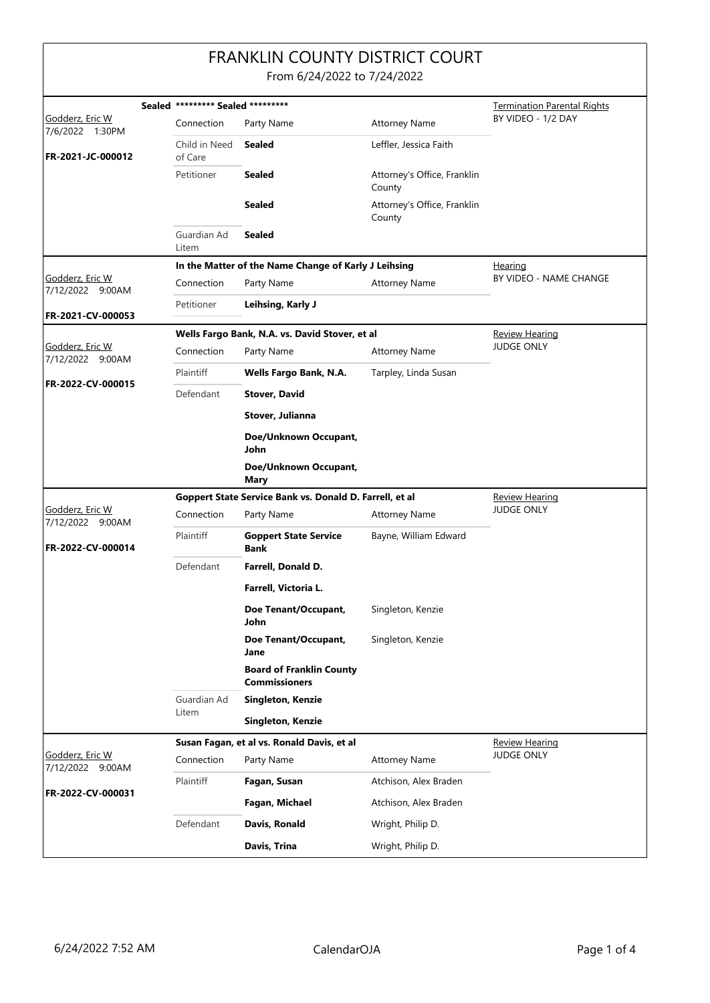## FRANKLIN COUNTY DISTRICT COURT

From 6/24/2022 to 7/24/2022

|                                      | Sealed ********* Sealed ********* |                                                         |                                       | <b>Termination Parental Rights</b> |
|--------------------------------------|-----------------------------------|---------------------------------------------------------|---------------------------------------|------------------------------------|
| Godderz, Eric W                      | Connection                        | Party Name                                              | <b>Attorney Name</b>                  | BY VIDEO - 1/2 DAY                 |
| 7/6/2022 1:30PM<br>FR-2021-JC-000012 | Child in Need<br>of Care          | <b>Sealed</b>                                           | Leffler, Jessica Faith                |                                    |
|                                      | Petitioner                        | <b>Sealed</b>                                           | Attorney's Office, Franklin<br>County |                                    |
|                                      |                                   | Sealed                                                  | Attorney's Office, Franklin<br>County |                                    |
|                                      | Guardian Ad<br>Litem              | <b>Sealed</b>                                           |                                       |                                    |
|                                      |                                   | In the Matter of the Name Change of Karly J Leihsing    |                                       | <b>Hearing</b>                     |
| Godderz, Eric W<br>7/12/2022 9:00AM  | Connection                        | Party Name                                              | <b>Attorney Name</b>                  | BY VIDEO - NAME CHANGE             |
| FR-2021-CV-000053                    | Petitioner                        | Leihsing, Karly J                                       |                                       |                                    |
|                                      |                                   | Wells Fargo Bank, N.A. vs. David Stover, et al          |                                       | <b>Review Hearing</b>              |
| Godderz, Eric W<br>7/12/2022 9:00AM  | Connection                        | Party Name                                              | <b>Attorney Name</b>                  | <b>JUDGE ONLY</b>                  |
|                                      | Plaintiff                         | Wells Fargo Bank, N.A.                                  | Tarpley, Linda Susan                  |                                    |
| FR-2022-CV-000015                    | Defendant                         | <b>Stover, David</b>                                    |                                       |                                    |
|                                      |                                   | Stover, Julianna                                        |                                       |                                    |
|                                      |                                   | Doe/Unknown Occupant,<br>John                           |                                       |                                    |
|                                      |                                   | Doe/Unknown Occupant,<br><b>Mary</b>                    |                                       |                                    |
|                                      |                                   | Goppert State Service Bank vs. Donald D. Farrell, et al |                                       | <b>Review Hearing</b>              |
| Godderz, Eric W<br>7/12/2022 9:00AM  | Connection                        | Party Name                                              | <b>Attorney Name</b>                  | <b>JUDGE ONLY</b>                  |
| FR-2022-CV-000014                    | Plaintiff                         | <b>Goppert State Service</b><br>Bank                    | Bayne, William Edward                 |                                    |
|                                      | Defendant                         | Farrell, Donald D.                                      |                                       |                                    |
|                                      |                                   | Farrell, Victoria L.                                    |                                       |                                    |
|                                      |                                   | Doe Tenant/Occupant,<br>John                            | Singleton, Kenzie                     |                                    |
|                                      |                                   | Doe Tenant/Occupant,<br>Jane                            | Singleton, Kenzie                     |                                    |
|                                      |                                   | <b>Board of Franklin County</b><br><b>Commissioners</b> |                                       |                                    |
|                                      | Guardian Ad<br>Litem              | Singleton, Kenzie                                       |                                       |                                    |
|                                      |                                   | Singleton, Kenzie                                       |                                       |                                    |
|                                      |                                   | Susan Fagan, et al vs. Ronald Davis, et al              | Review Hearing                        |                                    |
| Godderz, Eric W<br>7/12/2022 9:00AM  | Connection                        | Party Name                                              | <b>Attorney Name</b>                  | <b>JUDGE ONLY</b>                  |
| FR-2022-CV-000031                    | Plaintiff                         | Fagan, Susan                                            | Atchison, Alex Braden                 |                                    |
|                                      |                                   | Fagan, Michael                                          | Atchison, Alex Braden                 |                                    |
|                                      | Defendant                         | Davis, Ronald                                           | Wright, Philip D.                     |                                    |
|                                      |                                   | Davis, Trina                                            | Wright, Philip D.                     |                                    |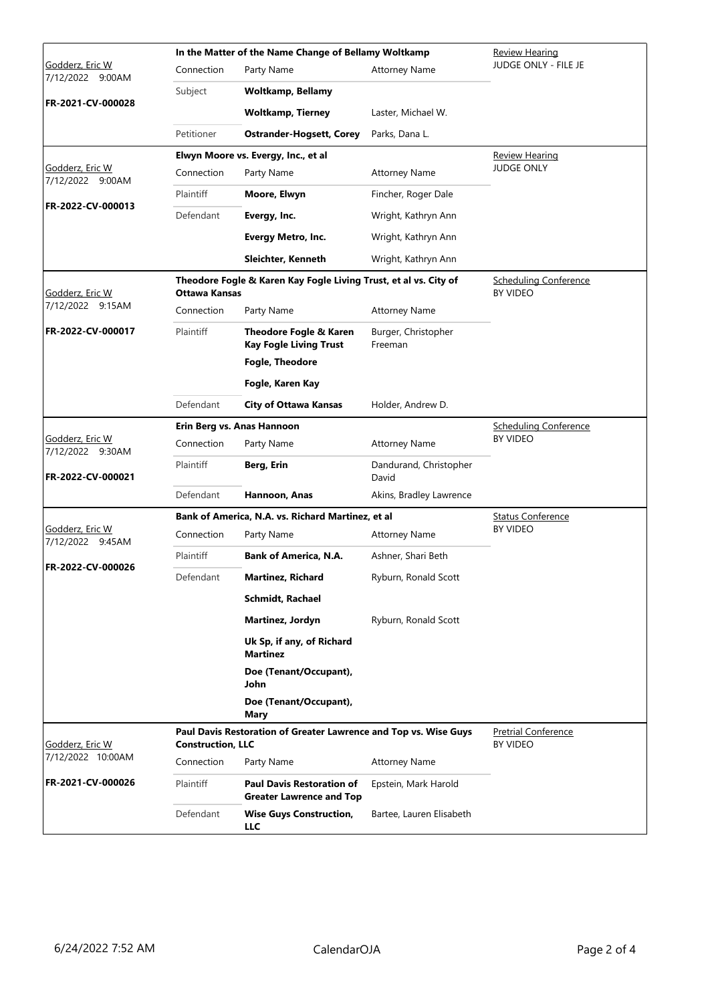|                                            | In the Matter of the Name Change of Bellamy Woltkamp |                                                                     |                                                 | <b>Review Hearing</b>                           |
|--------------------------------------------|------------------------------------------------------|---------------------------------------------------------------------|-------------------------------------------------|-------------------------------------------------|
| Godderz, Eric W<br>7/12/2022 9:00AM        | Connection                                           | Party Name                                                          | <b>Attorney Name</b>                            | JUDGE ONLY - FILE JE                            |
|                                            | Subject                                              | <b>Woltkamp, Bellamy</b>                                            |                                                 |                                                 |
| FR-2021-CV-000028                          |                                                      | <b>Woltkamp, Tierney</b>                                            | Laster, Michael W.                              |                                                 |
|                                            | Petitioner                                           | <b>Ostrander-Hogsett, Corey</b>                                     | Parks, Dana L.                                  |                                                 |
|                                            |                                                      | Elwyn Moore vs. Evergy, Inc., et al                                 |                                                 | <b>Review Hearing</b>                           |
| <u>Godderz, Eric W</u><br>7/12/2022 9:00AM | Connection                                           | Party Name                                                          | <b>Attorney Name</b>                            | <b>JUDGE ONLY</b>                               |
| FR-2022-CV-000013                          | Plaintiff                                            | Moore, Elwyn                                                        | Fincher, Roger Dale                             |                                                 |
|                                            | Defendant                                            | Evergy, Inc.                                                        | Wright, Kathryn Ann                             |                                                 |
|                                            |                                                      | <b>Evergy Metro, Inc.</b>                                           | Wright, Kathryn Ann                             |                                                 |
|                                            |                                                      | Sleichter, Kenneth                                                  | Wright, Kathryn Ann                             |                                                 |
| Godderz, Eric W                            | Ottawa Kansas                                        | Theodore Fogle & Karen Kay Fogle Living Trust, et al vs. City of    | <b>Scheduling Conference</b><br><b>BY VIDEO</b> |                                                 |
| 7/12/2022 9:15AM                           | Connection                                           | Party Name                                                          | <b>Attorney Name</b>                            |                                                 |
| FR-2022-CV-000017                          | Plaintiff                                            | Theodore Fogle & Karen<br><b>Kay Fogle Living Trust</b>             | Burger, Christopher<br>Freeman                  |                                                 |
|                                            |                                                      | <b>Fogle, Theodore</b>                                              |                                                 |                                                 |
|                                            |                                                      | Fogle, Karen Kay                                                    |                                                 |                                                 |
|                                            | Defendant                                            | <b>City of Ottawa Kansas</b>                                        | Holder, Andrew D.                               |                                                 |
| Godderz, Eric W                            | Erin Berg vs. Anas Hannoon                           |                                                                     |                                                 | <b>Scheduling Conference</b><br><b>BY VIDEO</b> |
| 7/12/2022 9:30AM                           | Connection                                           | Party Name                                                          | <b>Attorney Name</b>                            |                                                 |
| FR-2022-CV-000021                          | Plaintiff                                            | Berg, Erin                                                          | Dandurand, Christopher<br>David                 |                                                 |
|                                            | Defendant                                            | Hannoon, Anas                                                       | Akins, Bradley Lawrence                         |                                                 |
| Godderz, Eric W                            |                                                      | Bank of America, N.A. vs. Richard Martinez, et al                   |                                                 | <b>Status Conference</b><br><b>BY VIDEO</b>     |
| 7/12/2022 9:45AM                           | Connection                                           | Party Name                                                          | <b>Attorney Name</b>                            |                                                 |
| FR-2022-CV-000026                          | Plaintiff                                            | <b>Bank of America, N.A.</b>                                        | Ashner, Shari Beth                              |                                                 |
|                                            | Defendant                                            | <b>Martinez, Richard</b>                                            | Ryburn, Ronald Scott                            |                                                 |
|                                            |                                                      | <b>Schmidt, Rachael</b>                                             |                                                 |                                                 |
|                                            |                                                      | Martinez, Jordyn                                                    | Ryburn, Ronald Scott                            |                                                 |
|                                            |                                                      | Uk Sp, if any, of Richard<br><b>Martinez</b>                        |                                                 |                                                 |
|                                            |                                                      | Doe (Tenant/Occupant),<br>John                                      |                                                 |                                                 |
|                                            |                                                      | Doe (Tenant/Occupant),<br>Mary                                      |                                                 |                                                 |
| Godderz, Eric W<br>7/12/2022 10:00AM       | <b>Construction, LLC</b>                             | Paul Davis Restoration of Greater Lawrence and Top vs. Wise Guys    |                                                 | <b>Pretrial Conference</b><br><b>BY VIDEO</b>   |
|                                            | Connection                                           | Party Name                                                          | <b>Attorney Name</b>                            |                                                 |
| FR-2021-CV-000026                          | Plaintiff                                            | <b>Paul Davis Restoration of</b><br><b>Greater Lawrence and Top</b> | Epstein, Mark Harold                            |                                                 |
|                                            | Defendant                                            | <b>Wise Guys Construction,</b><br><b>LLC</b>                        | Bartee, Lauren Elisabeth                        |                                                 |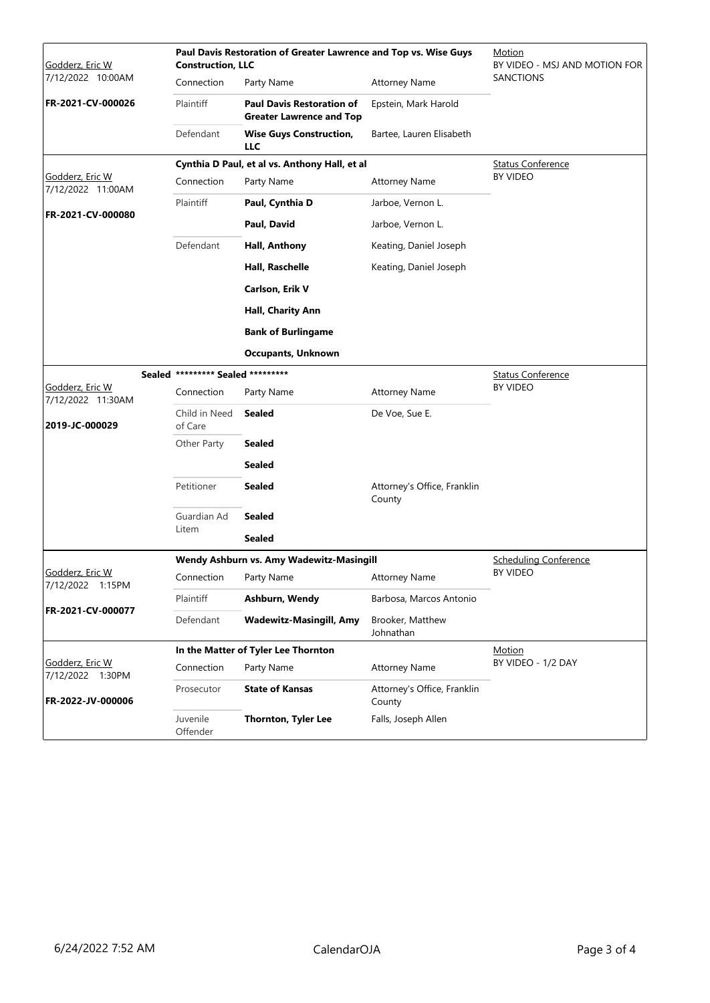| Godderz, Eric W                      | Paul Davis Restoration of Greater Lawrence and Top vs. Wise Guys<br><b>Construction, LLC</b> |                                                                                   |                                              | Motion<br>BY VIDEO - MSJ AND MOTION FOR |
|--------------------------------------|----------------------------------------------------------------------------------------------|-----------------------------------------------------------------------------------|----------------------------------------------|-----------------------------------------|
| 7/12/2022 10:00AM                    | Connection<br>Plaintiff                                                                      | Party Name<br><b>Paul Davis Restoration of</b><br><b>Greater Lawrence and Top</b> | <b>Attorney Name</b><br>Epstein, Mark Harold | <b>SANCTIONS</b>                        |
| FR-2021-CV-000026                    |                                                                                              |                                                                                   |                                              |                                         |
|                                      | Defendant                                                                                    | <b>Wise Guys Construction,</b><br><b>LLC</b>                                      | Bartee, Lauren Elisabeth                     |                                         |
|                                      | Cynthia D Paul, et al vs. Anthony Hall, et al                                                |                                                                                   |                                              | <b>Status Conference</b>                |
| Godderz, Eric W<br>7/12/2022 11:00AM | Connection                                                                                   | Party Name                                                                        | <b>Attorney Name</b>                         | BY VIDEO                                |
| FR-2021-CV-000080                    | Plaintiff                                                                                    | Paul, Cynthia D                                                                   | Jarboe, Vernon L.                            |                                         |
|                                      |                                                                                              | Paul, David                                                                       | Jarboe, Vernon L.                            |                                         |
|                                      | Defendant                                                                                    | Hall, Anthony                                                                     | Keating, Daniel Joseph                       |                                         |
|                                      |                                                                                              | Hall, Raschelle                                                                   | Keating, Daniel Joseph                       |                                         |
|                                      |                                                                                              | Carlson, Erik V                                                                   |                                              |                                         |
|                                      |                                                                                              | Hall, Charity Ann                                                                 |                                              |                                         |
|                                      |                                                                                              | <b>Bank of Burlingame</b>                                                         |                                              |                                         |
|                                      |                                                                                              | <b>Occupants, Unknown</b>                                                         |                                              |                                         |
|                                      | Sealed ********* Sealed *********                                                            |                                                                                   | <b>Status Conference</b>                     |                                         |
| Godderz, Eric W<br>7/12/2022 11:30AM | Connection                                                                                   | Party Name                                                                        | <b>Attorney Name</b>                         | <b>BY VIDEO</b>                         |
| 2019-JC-000029                       | Child in Need<br>of Care                                                                     | Sealed                                                                            | De Voe, Sue E.                               |                                         |
|                                      | Other Party                                                                                  | <b>Sealed</b>                                                                     |                                              |                                         |
|                                      |                                                                                              | <b>Sealed</b>                                                                     |                                              |                                         |
|                                      | Petitioner                                                                                   | <b>Sealed</b>                                                                     | Attorney's Office, Franklin<br>County        |                                         |
|                                      | Guardian Ad                                                                                  | <b>Sealed</b>                                                                     |                                              |                                         |
|                                      | Litem                                                                                        | <b>Sealed</b>                                                                     |                                              |                                         |
|                                      | Wendy Ashburn vs. Amy Wadewitz-Masingill                                                     |                                                                                   |                                              | <b>Scheduling Conference</b>            |
| Godderz, Eric W<br>7/12/2022 1:15PM  |                                                                                              | Connection Party Name                                                             | <b>Attorney Name</b>                         | <b>BY VIDEO</b>                         |
|                                      | Plaintiff                                                                                    | Ashburn, Wendy                                                                    | Barbosa, Marcos Antonio                      |                                         |
| FR-2021-CV-000077                    | Defendant                                                                                    | <b>Wadewitz-Masingill, Amy</b>                                                    | Brooker, Matthew<br>Johnathan                |                                         |
|                                      | In the Matter of Tyler Lee Thornton                                                          |                                                                                   |                                              | Motion                                  |
| Godderz, Eric W<br>7/12/2022 1:30PM  | Connection                                                                                   | Party Name                                                                        | <b>Attorney Name</b>                         | BY VIDEO - 1/2 DAY                      |
| FR-2022-JV-000006                    | Prosecutor                                                                                   | <b>State of Kansas</b>                                                            | Attorney's Office, Franklin<br>County        |                                         |
|                                      | Juvenile<br>Offender                                                                         | <b>Thornton, Tyler Lee</b>                                                        | Falls, Joseph Allen                          |                                         |